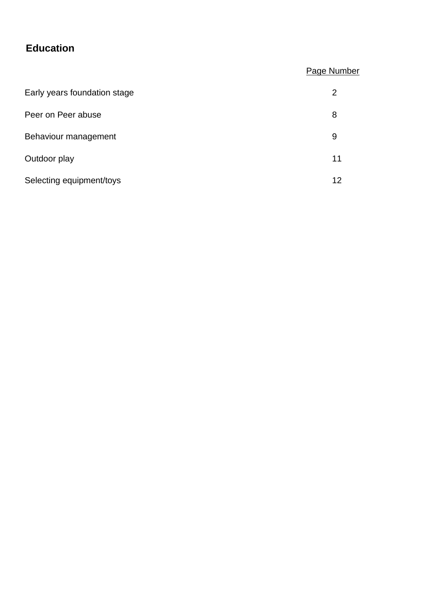# **Education**

# Page Number

| Early years foundation stage | 2  |
|------------------------------|----|
| Peer on Peer abuse           | 8  |
| Behaviour management         | 9  |
| Outdoor play                 | 11 |
| Selecting equipment/toys     | 12 |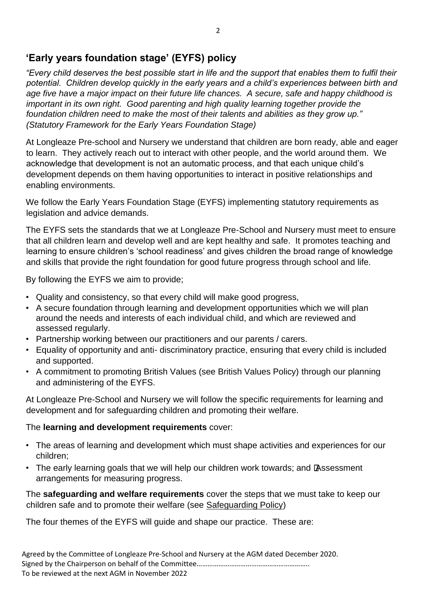# **'Early years foundation stage' (EYFS) policy**

*"Every child deserves the best possible start in life and the support that enables them to fulfil their potential. Children develop quickly in the early years and a child's experiences between birth and age five have a major impact on their future life chances. A secure, safe and happy childhood is important in its own right. Good parenting and high quality learning together provide the foundation children need to make the most of their talents and abilities as they grow up." (Statutory Framework for the Early Years Foundation Stage)* 

At Longleaze Pre-school and Nursery we understand that children are born ready, able and eager to learn. They actively reach out to interact with other people, and the world around them. We acknowledge that development is not an automatic process, and that each unique child's development depends on them having opportunities to interact in positive relationships and enabling environments.

We follow the Early Years Foundation Stage (EYFS) implementing statutory requirements as legislation and advice demands.

The EYFS sets the standards that we at Longleaze Pre-School and Nursery must meet to ensure that all children learn and develop well and are kept healthy and safe. It promotes teaching and learning to ensure children's 'school readiness' and gives children the broad range of knowledge and skills that provide the right foundation for good future progress through school and life.

By following the EYFS we aim to provide;

- Quality and consistency, so that every child will make good progress,
- A secure foundation through learning and development opportunities which we will plan around the needs and interests of each individual child, and which are reviewed and assessed regularly.
- Partnership working between our practitioners and our parents / carers.
- Equality of opportunity and anti- discriminatory practice, ensuring that every child is included and supported.
- A commitment to promoting British Values (see British Values Policy) through our planning and administering of the EYFS.

At Longleaze Pre-School and Nursery we will follow the specific requirements for learning and development and for safeguarding children and promoting their welfare.

### The **learning and development requirements** cover:

- The areas of learning and development which must shape activities and experiences for our children;
- The early learning goals that we will help our children work towards; and Assessment arrangements for measuring progress.

The **safeguarding and welfare requirements** cover the steps that we must take to keep our children safe and to promote their welfare (see Safeguarding Policy)

The four themes of the EYFS will guide and shape our practice. These are: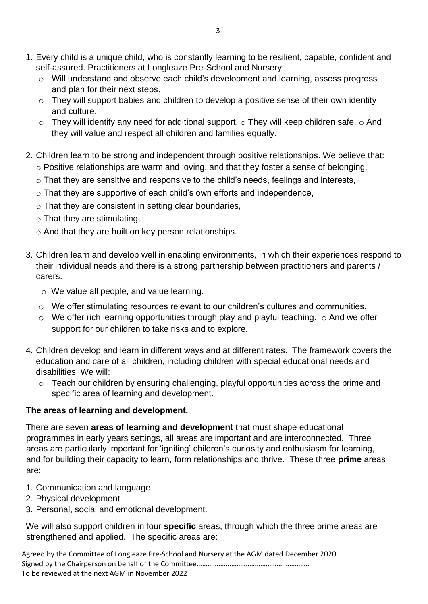- 1. Every child is a unique child, who is constantly learning to be resilient, capable, confident and self-assured. Practitioners at Longleaze Pre-School and Nursery:
	- o Will understand and observe each child's development and learning, assess progress and plan for their next steps.
	- o They will support babies and children to develop a positive sense of their own identity and culture.
	- $\circ$  They will identify any need for additional support.  $\circ$  They will keep children safe.  $\circ$  And they will value and respect all children and families equally.
- 2. Children learn to be strong and independent through positive relationships. We believe that: o Positive relationships are warm and loving, and that they foster a sense of belonging,
	- o That they are sensitive and responsive to the child's needs, feelings and interests,
	- o That they are supportive of each child's own efforts and independence,
	- o That they are consistent in setting clear boundaries,
	- $\circ$  That they are stimulating,
	- o And that they are built on key person relationships.
- 3. Children learn and develop well in enabling environments, in which their experiences respond to their individual needs and there is a strong partnership between practitioners and parents / carers.
	- o We value all people, and value learning.
	- o We offer stimulating resources relevant to our children's cultures and communities.
	- $\circ$  We offer rich learning opportunities through play and playful teaching.  $\circ$  And we offer support for our children to take risks and to explore.
- 4. Children develop and learn in different ways and at different rates. The framework covers the education and care of all children, including children with special educational needs and disabilities. We will:
	- o Teach our children by ensuring challenging, playful opportunities across the prime and specific area of learning and development.

### **The areas of learning and development.**

There are seven **areas of learning and development** that must shape educational programmes in early years settings, all areas are important and are interconnected. Three areas are particularly important for 'igniting' children's curiosity and enthusiasm for learning, and for building their capacity to learn, form relationships and thrive. These three **prime** areas are:

- 1. Communication and language
- 2. Physical development
- 3. Personal, social and emotional development.

We will also support children in four **specific** areas, through which the three prime areas are strengthened and applied. The specific areas are: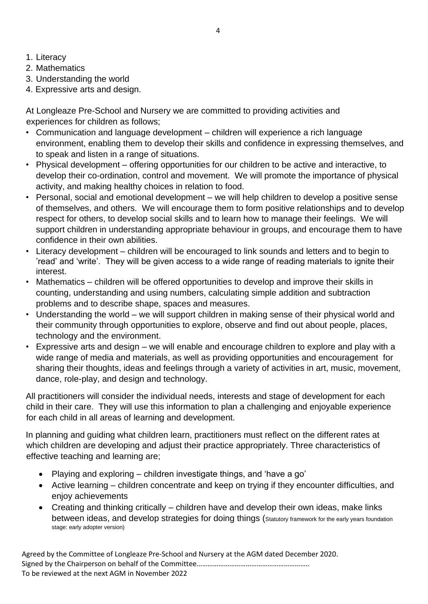- 1. Literacy
- 2. Mathematics
- 3. Understanding the world
- 4. Expressive arts and design.

At Longleaze Pre-School and Nursery we are committed to providing activities and experiences for children as follows;

- Communication and language development children will experience a rich language environment, enabling them to develop their skills and confidence in expressing themselves, and to speak and listen in a range of situations.
- Physical development offering opportunities for our children to be active and interactive, to develop their co-ordination, control and movement. We will promote the importance of physical activity, and making healthy choices in relation to food.
- Personal, social and emotional development we will help children to develop a positive sense of themselves, and others. We will encourage them to form positive relationships and to develop respect for others, to develop social skills and to learn how to manage their feelings. We will support children in understanding appropriate behaviour in groups, and encourage them to have confidence in their own abilities.
- Literacy development children will be encouraged to link sounds and letters and to begin to 'read' and 'write'. They will be given access to a wide range of reading materials to ignite their interest.
- Mathematics children will be offered opportunities to develop and improve their skills in counting, understanding and using numbers, calculating simple addition and subtraction problems and to describe shape, spaces and measures.
- Understanding the world we will support children in making sense of their physical world and their community through opportunities to explore, observe and find out about people, places, technology and the environment.
- Expressive arts and design we will enable and encourage children to explore and play with a wide range of media and materials, as well as providing opportunities and encouragement for sharing their thoughts, ideas and feelings through a variety of activities in art, music, movement, dance, role-play, and design and technology.

All practitioners will consider the individual needs, interests and stage of development for each child in their care. They will use this information to plan a challenging and enjoyable experience for each child in all areas of learning and development.

In planning and guiding what children learn, practitioners must reflect on the different rates at which children are developing and adjust their practice appropriately. Three characteristics of effective teaching and learning are;

- Playing and exploring children investigate things, and 'have a go'
- Active learning children concentrate and keep on trying if they encounter difficulties, and enjoy achievements
- Creating and thinking critically children have and develop their own ideas, make links between ideas, and develop strategies for doing things (Statutory framework for the early years foundation stage: early adopter version)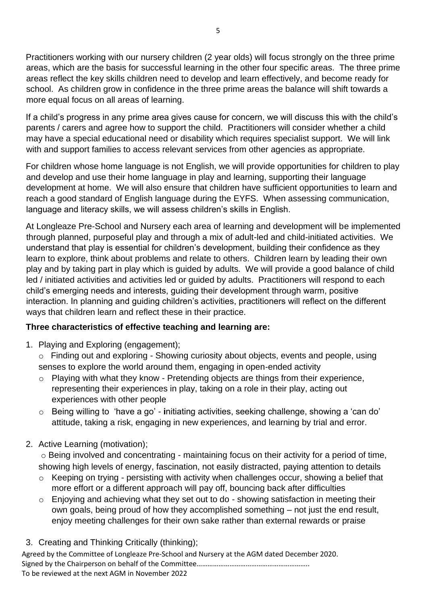Practitioners working with our nursery children (2 year olds) will focus strongly on the three prime areas, which are the basis for successful learning in the other four specific areas. The three prime areas reflect the key skills children need to develop and learn effectively, and become ready for school. As children grow in confidence in the three prime areas the balance will shift towards a more equal focus on all areas of learning.

If a child's progress in any prime area gives cause for concern, we will discuss this with the child's parents / carers and agree how to support the child. Practitioners will consider whether a child may have a special educational need or disability which requires specialist support. We will link with and support families to access relevant services from other agencies as appropriate.

For children whose home language is not English, we will provide opportunities for children to play and develop and use their home language in play and learning, supporting their language development at home. We will also ensure that children have sufficient opportunities to learn and reach a good standard of English language during the EYFS. When assessing communication, language and literacy skills, we will assess children's skills in English.

At Longleaze Pre-School and Nursery each area of learning and development will be implemented through planned, purposeful play and through a mix of adult-led and child-initiated activities. We understand that play is essential for children's development, building their confidence as they learn to explore, think about problems and relate to others. Children learn by leading their own play and by taking part in play which is guided by adults. We will provide a good balance of child led / initiated activities and activities led or guided by adults. Practitioners will respond to each child's emerging needs and interests, guiding their development through warm, positive interaction. In planning and guiding children's activities, practitioners will reflect on the different ways that children learn and reflect these in their practice.

### **Three characteristics of effective teaching and learning are:**

- 1. Playing and Exploring (engagement);
	- o Finding out and exploring Showing curiosity about objects, events and people, using senses to explore the world around them, engaging in open-ended activity
	- o Playing with what they know Pretending objects are things from their experience, representing their experiences in play, taking on a role in their play, acting out experiences with other people
	- o Being willing to 'have a go' **i**nitiating activities, seeking challenge, showing a 'can do' attitude, taking a risk, engaging in new experiences, and learning by trial and error.
- 2. Active Learning (motivation);

o Being involved and concentrating - maintaining focus on their activity for a period of time, showing high levels of energy, fascination, not easily distracted, paying attention to details

- o Keeping on trying persisting with activity when challenges occur, showing a belief that more effort or a different approach will pay off, bouncing back after difficulties
- o Enjoying and achieving what they set out to do showing satisfaction in meeting their own goals, being proud of how they accomplished something – not just the end result, enjoy meeting challenges for their own sake rather than external rewards or praise
- 3. Creating and Thinking Critically (thinking);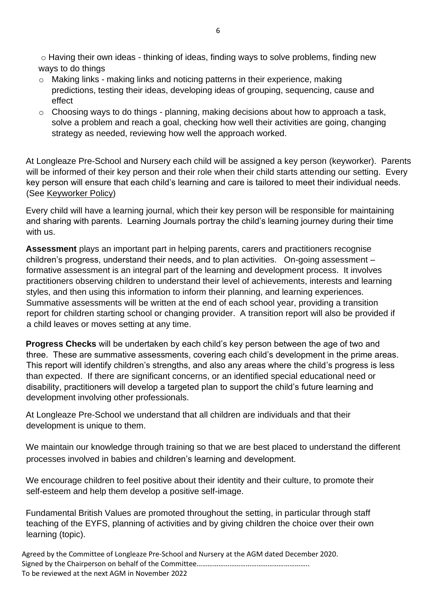o Having their own ideas - thinking of ideas, finding ways to solve problems, finding new ways to do things

- o Making links making links and noticing patterns in their experience, making predictions, testing their ideas, developing ideas of grouping, sequencing, cause and effect
- $\circ$  Choosing ways to do things planning, making decisions about how to approach a task, solve a problem and reach a goal, checking how well their activities are going, changing strategy as needed, reviewing how well the approach worked.

At Longleaze Pre-School and Nursery each child will be assigned a key person (keyworker). Parents will be informed of their key person and their role when their child starts attending our setting. Every key person will ensure that each child's learning and care is tailored to meet their individual needs. (See Keyworker Policy)

Every child will have a learning journal, which their key person will be responsible for maintaining and sharing with parents. Learning Journals portray the child's learning journey during their time with us.

**Assessment** plays an important part in helping parents, carers and practitioners recognise children's progress, understand their needs, and to plan activities. On-going assessment – formative assessment is an integral part of the learning and development process. It involves practitioners observing children to understand their level of achievements, interests and learning styles, and then using this information to inform their planning, and learning experiences. Summative assessments will be written at the end of each school year, providing a transition report for children starting school or changing provider. A transition report will also be provided if a child leaves or moves setting at any time.

**Progress Checks** will be undertaken by each child's key person between the age of two and three. These are summative assessments, covering each child's development in the prime areas. This report will identify children's strengths, and also any areas where the child's progress is less than expected. If there are significant concerns, or an identified special educational need or disability, practitioners will develop a targeted plan to support the child's future learning and development involving other professionals.

At Longleaze Pre-School we understand that all children are individuals and that their development is unique to them.

We maintain our knowledge through training so that we are best placed to understand the different processes involved in babies and children's learning and development.

We encourage children to feel positive about their identity and their culture, to promote their self-esteem and help them develop a positive self-image.

Fundamental British Values are promoted throughout the setting, in particular through staff teaching of the EYFS, planning of activities and by giving children the choice over their own learning (topic).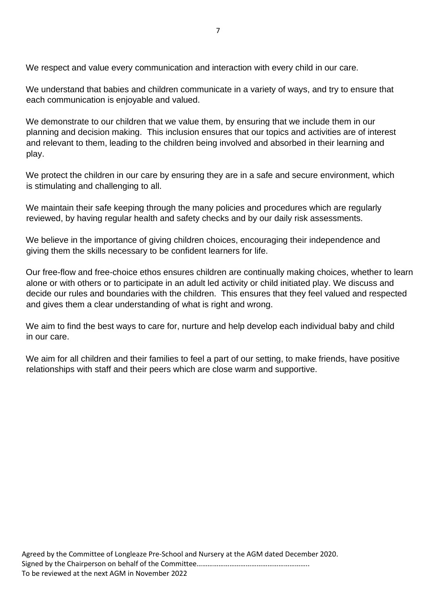We respect and value every communication and interaction with every child in our care.

We understand that babies and children communicate in a variety of ways, and try to ensure that each communication is enjoyable and valued.

We demonstrate to our children that we value them, by ensuring that we include them in our planning and decision making. This inclusion ensures that our topics and activities are of interest and relevant to them, leading to the children being involved and absorbed in their learning and play.

We protect the children in our care by ensuring they are in a safe and secure environment, which is stimulating and challenging to all.

We maintain their safe keeping through the many policies and procedures which are regularly reviewed, by having regular health and safety checks and by our daily risk assessments.

We believe in the importance of giving children choices, encouraging their independence and giving them the skills necessary to be confident learners for life.

Our free-flow and free-choice ethos ensures children are continually making choices, whether to learn alone or with others or to participate in an adult led activity or child initiated play. We discuss and decide our rules and boundaries with the children. This ensures that they feel valued and respected and gives them a clear understanding of what is right and wrong.

We aim to find the best ways to care for, nurture and help develop each individual baby and child in our care.

We aim for all children and their families to feel a part of our setting, to make friends, have positive relationships with staff and their peers which are close warm and supportive.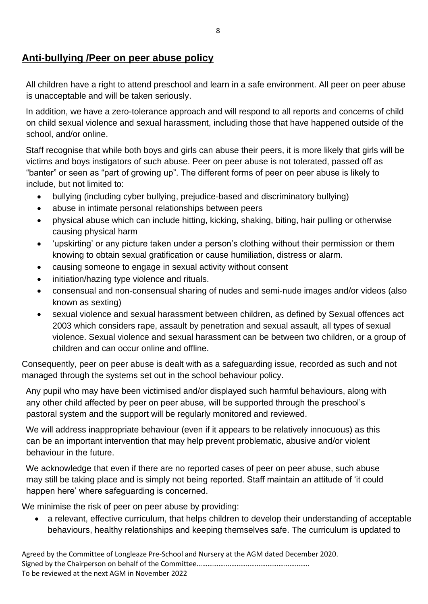## **Anti-bullying /Peer on peer abuse policy**

All children have a right to attend preschool and learn in a safe environment. All peer on peer abuse is unacceptable and will be taken seriously.

In addition, we have a zero-tolerance approach and will respond to all reports and concerns of child on child sexual violence and sexual harassment, including those that have happened outside of the school, and/or online.

Staff recognise that while both boys and girls can abuse their peers, it is more likely that girls will be victims and boys instigators of such abuse. Peer on peer abuse is not tolerated, passed off as "banter" or seen as "part of growing up". The different forms of peer on peer abuse is likely to include, but not limited to:

- bullying (including cyber bullying, prejudice-based and discriminatory bullying)
- abuse in intimate personal relationships between peers
- physical abuse which can include hitting, kicking, shaking, biting, hair pulling or otherwise causing physical harm
- 'upskirting' or any picture taken under a person's clothing without their permission or them knowing to obtain sexual gratification or cause humiliation, distress or alarm.
- causing someone to engage in sexual activity without consent
- initiation/hazing type violence and rituals.
- consensual and non-consensual sharing of nudes and semi-nude images and/or videos (also known as sexting)
- sexual violence and sexual harassment between children, as defined by Sexual offences act 2003 which considers rape, assault by penetration and sexual assault, all types of sexual violence. Sexual violence and sexual harassment can be between two children, or a group of children and can occur online and offline.

Consequently, peer on peer abuse is dealt with as a safeguarding issue, recorded as such and not managed through the systems set out in the school behaviour policy.

Any pupil who may have been victimised and/or displayed such harmful behaviours, along with any other child affected by peer on peer abuse, will be supported through the preschool's pastoral system and the support will be regularly monitored and reviewed.

We will address inappropriate behaviour (even if it appears to be relatively innocuous) as this can be an important intervention that may help prevent problematic, abusive and/or violent behaviour in the future.

We acknowledge that even if there are no reported cases of peer on peer abuse, such abuse may still be taking place and is simply not being reported. Staff maintain an attitude of 'it could happen here' where safeguarding is concerned.

We minimise the risk of peer on peer abuse by providing:

• a relevant, effective curriculum, that helps children to develop their understanding of acceptable behaviours, healthy relationships and keeping themselves safe. The curriculum is updated to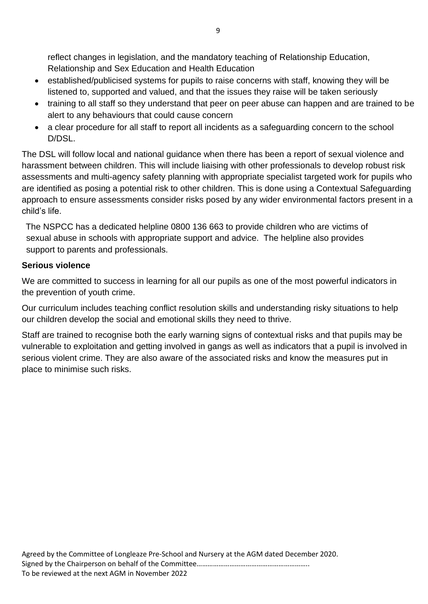reflect changes in legislation, and the mandatory teaching of Relationship Education, Relationship and Sex Education and Health Education

- established/publicised systems for pupils to raise concerns with staff, knowing they will be listened to, supported and valued, and that the issues they raise will be taken seriously
- training to all staff so they understand that peer on peer abuse can happen and are trained to be alert to any behaviours that could cause concern
- a clear procedure for all staff to report all incidents as a safeguarding concern to the school D/DSL.

The DSL will follow local and national guidance when there has been a report of sexual violence and harassment between children. This will include liaising with other professionals to develop robust risk assessments and multi-agency safety planning with appropriate specialist targeted work for pupils who are identified as posing a potential risk to other children. This is done using a Contextual Safeguarding approach to ensure assessments consider risks posed by any wider environmental factors present in a child's life.

The NSPCC has a dedicated helpline 0800 136 663 to provide children who are victims of sexual abuse in schools with appropriate support and advice. The helpline also provides support to parents and professionals.

### **Serious violence**

We are committed to success in learning for all our pupils as one of the most powerful indicators in the prevention of youth crime.

Our curriculum includes teaching conflict resolution skills and understanding risky situations to help our children develop the social and emotional skills they need to thrive.

Staff are trained to recognise both the early warning signs of contextual risks and that pupils may be vulnerable to exploitation and getting involved in gangs as well as indicators that a pupil is involved in serious violent crime. They are also aware of the associated risks and know the measures put in place to minimise such risks.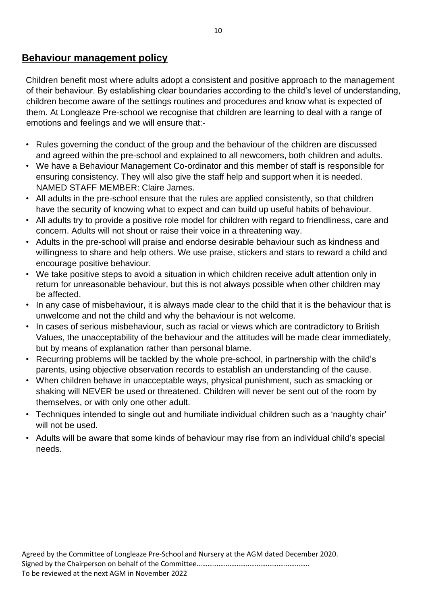### **Behaviour management policy**

Children benefit most where adults adopt a consistent and positive approach to the management of their behaviour. By establishing clear boundaries according to the child's level of understanding, children become aware of the settings routines and procedures and know what is expected of them. At Longleaze Pre-school we recognise that children are learning to deal with a range of emotions and feelings and we will ensure that:-

- Rules governing the conduct of the group and the behaviour of the children are discussed and agreed within the pre-school and explained to all newcomers, both children and adults.
- We have a Behaviour Management Co-ordinator and this member of staff is responsible for ensuring consistency. They will also give the staff help and support when it is needed. NAMED STAFF MEMBER: Claire James.
- All adults in the pre-school ensure that the rules are applied consistently, so that children have the security of knowing what to expect and can build up useful habits of behaviour.
- All adults try to provide a positive role model for children with regard to friendliness, care and concern. Adults will not shout or raise their voice in a threatening way.
- Adults in the pre-school will praise and endorse desirable behaviour such as kindness and willingness to share and help others. We use praise, stickers and stars to reward a child and encourage positive behaviour.
- We take positive steps to avoid a situation in which children receive adult attention only in return for unreasonable behaviour, but this is not always possible when other children may be affected.
- In any case of misbehaviour, it is always made clear to the child that it is the behaviour that is unwelcome and not the child and why the behaviour is not welcome.
- In cases of serious misbehaviour, such as racial or views which are contradictory to British Values, the unacceptability of the behaviour and the attitudes will be made clear immediately, but by means of explanation rather than personal blame.
- Recurring problems will be tackled by the whole pre-school, in partnership with the child's parents, using objective observation records to establish an understanding of the cause.
- When children behave in unacceptable ways, physical punishment, such as smacking or shaking will NEVER be used or threatened. Children will never be sent out of the room by themselves, or with only one other adult.
- Techniques intended to single out and humiliate individual children such as a 'naughty chair' will not be used.
- Adults will be aware that some kinds of behaviour may rise from an individual child's special needs.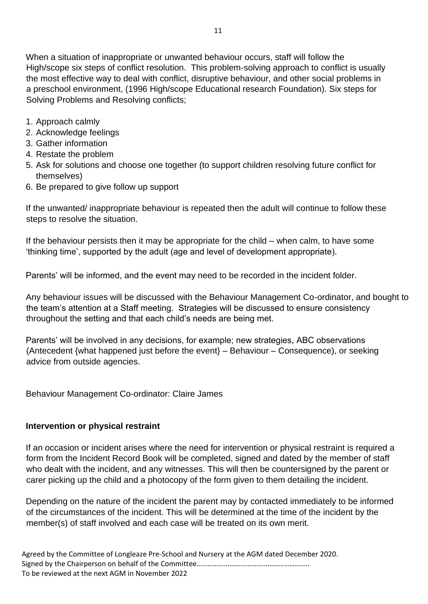When a situation of inappropriate or unwanted behaviour occurs, staff will follow the High/scope six steps of conflict resolution. This problem-solving approach to conflict is usually the most effective way to deal with conflict, disruptive behaviour, and other social problems in a preschool environment, (1996 High/scope Educational research Foundation). Six steps for Solving Problems and Resolving conflicts;

- 1. Approach calmly
- 2. Acknowledge feelings
- 3. Gather information
- 4. Restate the problem
- 5. Ask for solutions and choose one together (to support children resolving future conflict for themselves)
- 6. Be prepared to give follow up support

If the unwanted/ inappropriate behaviour is repeated then the adult will continue to follow these steps to resolve the situation.

If the behaviour persists then it may be appropriate for the child – when calm, to have some 'thinking time', supported by the adult (age and level of development appropriate).

Parents' will be informed, and the event may need to be recorded in the incident folder.

Any behaviour issues will be discussed with the Behaviour Management Co-ordinator, and bought to the team's attention at a Staff meeting. Strategies will be discussed to ensure consistency throughout the setting and that each child's needs are being met.

Parents' will be involved in any decisions, for example; new strategies, ABC observations (Antecedent {what happened just before the event} – Behaviour – Consequence), or seeking advice from outside agencies.

Behaviour Management Co-ordinator: Claire James

### **Intervention or physical restraint**

If an occasion or incident arises where the need for intervention or physical restraint is required a form from the Incident Record Book will be completed, signed and dated by the member of staff who dealt with the incident, and any witnesses. This will then be countersigned by the parent or carer picking up the child and a photocopy of the form given to them detailing the incident.

Depending on the nature of the incident the parent may by contacted immediately to be informed of the circumstances of the incident. This will be determined at the time of the incident by the member(s) of staff involved and each case will be treated on its own merit.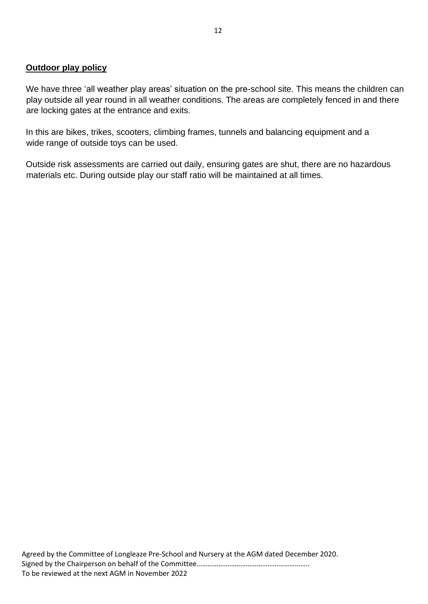#### **Outdoor play policy**

We have three 'all weather play areas' situation on the pre-school site. This means the children can play outside all year round in all weather conditions. The areas are completely fenced in and there are locking gates at the entrance and exits.

In this are bikes, trikes, scooters, climbing frames, tunnels and balancing equipment and a wide range of outside toys can be used.

Outside risk assessments are carried out daily, ensuring gates are shut, there are no hazardous materials etc. During outside play our staff ratio will be maintained at all times.